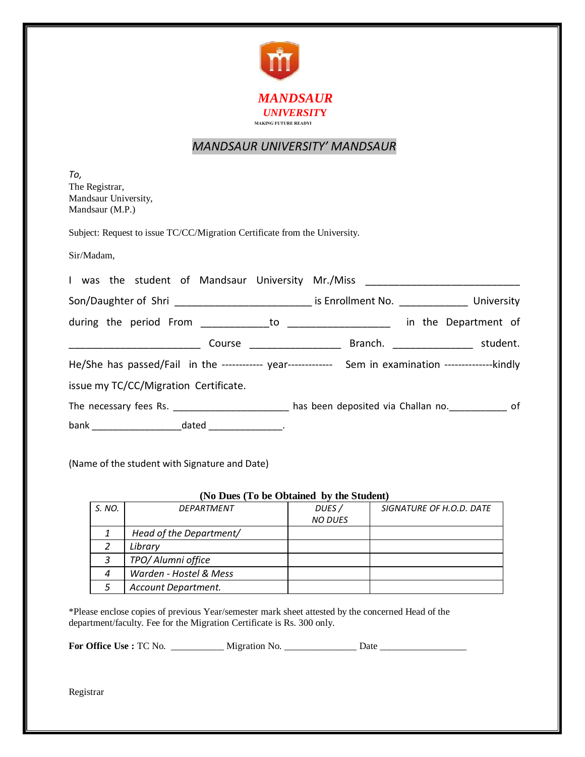

## *MANDSAUR UNIVERSITY' MANDSAUR*

*To,* The Registrar, Mandsaur University, Mandsaur (M.P.)

Subject: Request to issue TC/CC/Migration Certificate from the University.

Sir/Madam,

|  |  |                                                                 |                          |  |                          | I was the student of Mandsaur University Mr./Miss ______________________________                        |
|--|--|-----------------------------------------------------------------|--------------------------|--|--------------------------|---------------------------------------------------------------------------------------------------------|
|  |  |                                                                 |                          |  |                          | Son/Daughter of Shri ______________________________ is Enrollment No. ______________________ University |
|  |  |                                                                 |                          |  |                          | in the Department of                                                                                    |
|  |  |                                                                 | Course _________________ |  | Branch. ________________ | student.                                                                                                |
|  |  |                                                                 |                          |  |                          | He/She has passed/Fail in the ------------ year------------- Sem in examination ----------------kindly  |
|  |  | issue my TC/CC/Migration Certificate.                           |                          |  |                          |                                                                                                         |
|  |  |                                                                 |                          |  |                          | The necessary fees Rs. ________________________ has been deposited via Challan no. _____________ of     |
|  |  | bank _____________________________dated ______________________. |                          |  |                          |                                                                                                         |

(Name of the student with Signature and Date)

| (No Dues (To be Obtained by the Student) |                         |                         |                          |  |  |  |  |  |  |
|------------------------------------------|-------------------------|-------------------------|--------------------------|--|--|--|--|--|--|
| S. NO.                                   | DEPARTMENT              | DUES/<br><b>NO DUES</b> | SIGNATURE OF H.O.D. DATE |  |  |  |  |  |  |
|                                          | Head of the Department/ |                         |                          |  |  |  |  |  |  |
|                                          | Library                 |                         |                          |  |  |  |  |  |  |
| 3                                        | TPO/ Alumni office      |                         |                          |  |  |  |  |  |  |
| 4                                        | Warden - Hostel & Mess  |                         |                          |  |  |  |  |  |  |
|                                          | Account Department.     |                         |                          |  |  |  |  |  |  |

\*Please enclose copies of previous Year/semester mark sheet attested by the concerned Head of the department/faculty. Fee for the Migration Certificate is Rs. 300 only.

**For Office Use :** TC No. \_\_\_\_\_\_\_\_\_\_\_ Migration No. \_\_\_\_\_\_\_\_\_\_\_\_\_\_\_ Date \_\_\_\_\_\_\_\_\_\_\_\_\_\_\_\_\_\_

Registrar